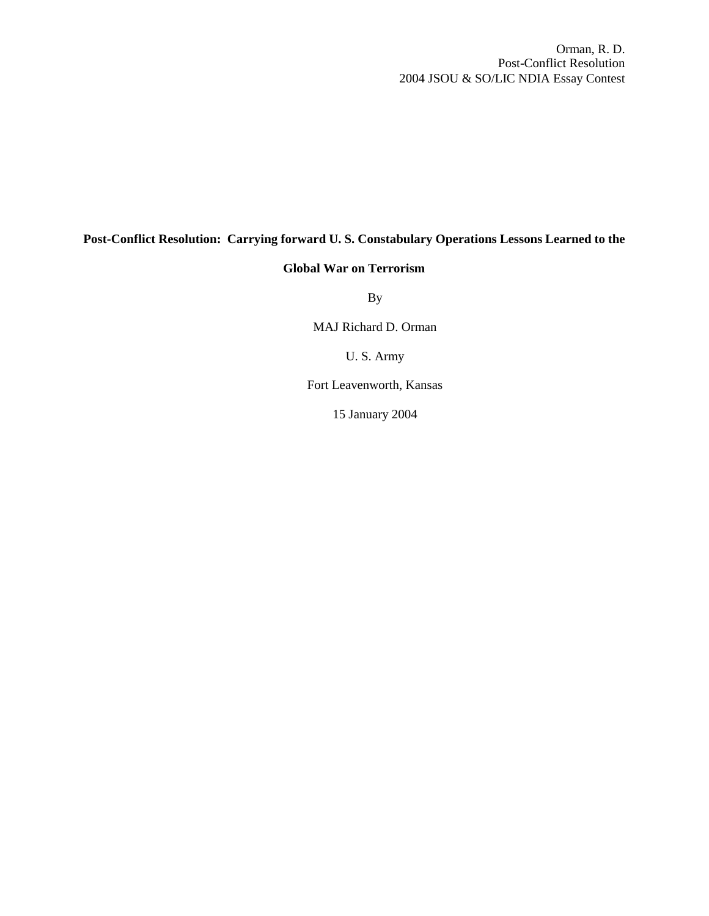Orman, R. D. Post-Conflict Resolution 2004 JSOU & SO/LIC NDIA Essay Contest

### **Post-Conflict Resolution: Carrying forward U. S. Constabulary Operations Lessons Learned to the**

#### **Global War on Terrorism**

By

MAJ Richard D. Orman

U. S. Army

Fort Leavenworth, Kansas

15 January 2004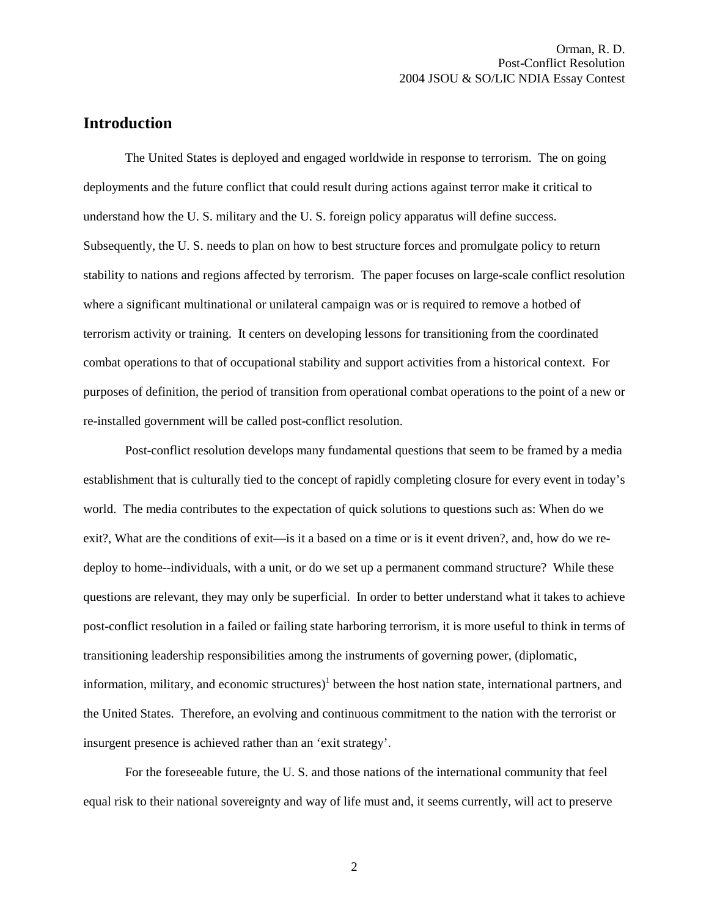## **Introduction**

The United States is deployed and engaged worldwide in response to terrorism. The on going deployments and the future conflict that could result during actions against terror make it critical to understand how the U. S. military and the U. S. foreign policy apparatus will define success. Subsequently, the U. S. needs to plan on how to best structure forces and promulgate policy to return stability to nations and regions affected by terrorism. The paper focuses on large-scale conflict resolution where a significant multinational or unilateral campaign was or is required to remove a hotbed of terrorism activity or training. It centers on developing lessons for transitioning from the coordinated combat operations to that of occupational stability and support activities from a historical context. For purposes of definition, the period of transition from operational combat operations to the point of a new or re-installed government will be called post-conflict resolution.

Post-conflict resolution develops many fundamental questions that seem to be framed by a media establishment that is culturally tied to the concept of rapidly completing closure for every event in today's world. The media contributes to the expectation of quick solutions to questions such as: When do we exit?, What are the conditions of exit—is it a based on a time or is it event driven?, and, how do we redeploy to home--individuals, with a unit, or do we set up a permanent command structure? While these questions are relevant, they may only be superficial. In order to better understand what it takes to achieve post-conflict resolution in a failed or failing state harboring terrorism, it is more useful to think in terms of transitioning leadership responsibilities among the instruments of governing power, (diplomatic, information, military, and economic structures)<sup>1</sup> between the host nation state, international partners, and the United States. Therefore, an evolving and continuous commitment to the nation with the terrorist or insurgent presence is achieved rather than an 'exit strategy'.

For the foreseeable future, the U. S. and those nations of the international community that feel equal risk to their national sovereignty and way of life must and, it seems currently, will act to preserve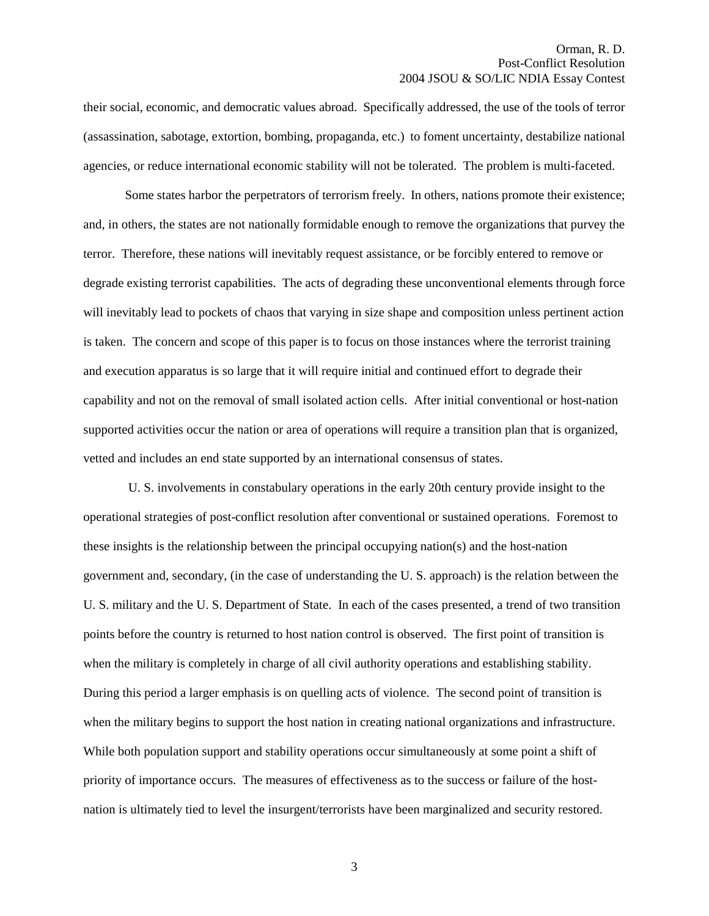their social, economic, and democratic values abroad. Specifically addressed, the use of the tools of terror (assassination, sabotage, extortion, bombing, propaganda, etc.) to foment uncertainty, destabilize national agencies, or reduce international economic stability will not be tolerated. The problem is multi-faceted.

Some states harbor the perpetrators of terrorism freely. In others, nations promote their existence; and, in others, the states are not nationally formidable enough to remove the organizations that purvey the terror. Therefore, these nations will inevitably request assistance, or be forcibly entered to remove or degrade existing terrorist capabilities. The acts of degrading these unconventional elements through force will inevitably lead to pockets of chaos that varying in size shape and composition unless pertinent action is taken. The concern and scope of this paper is to focus on those instances where the terrorist training and execution apparatus is so large that it will require initial and continued effort to degrade their capability and not on the removal of small isolated action cells. After initial conventional or host-nation supported activities occur the nation or area of operations will require a transition plan that is organized, vetted and includes an end state supported by an international consensus of states.

 U. S. involvements in constabulary operations in the early 20th century provide insight to the operational strategies of post-conflict resolution after conventional or sustained operations. Foremost to these insights is the relationship between the principal occupying nation(s) and the host-nation government and, secondary, (in the case of understanding the U. S. approach) is the relation between the U. S. military and the U. S. Department of State. In each of the cases presented, a trend of two transition points before the country is returned to host nation control is observed. The first point of transition is when the military is completely in charge of all civil authority operations and establishing stability. During this period a larger emphasis is on quelling acts of violence. The second point of transition is when the military begins to support the host nation in creating national organizations and infrastructure. While both population support and stability operations occur simultaneously at some point a shift of priority of importance occurs. The measures of effectiveness as to the success or failure of the hostnation is ultimately tied to level the insurgent/terrorists have been marginalized and security restored.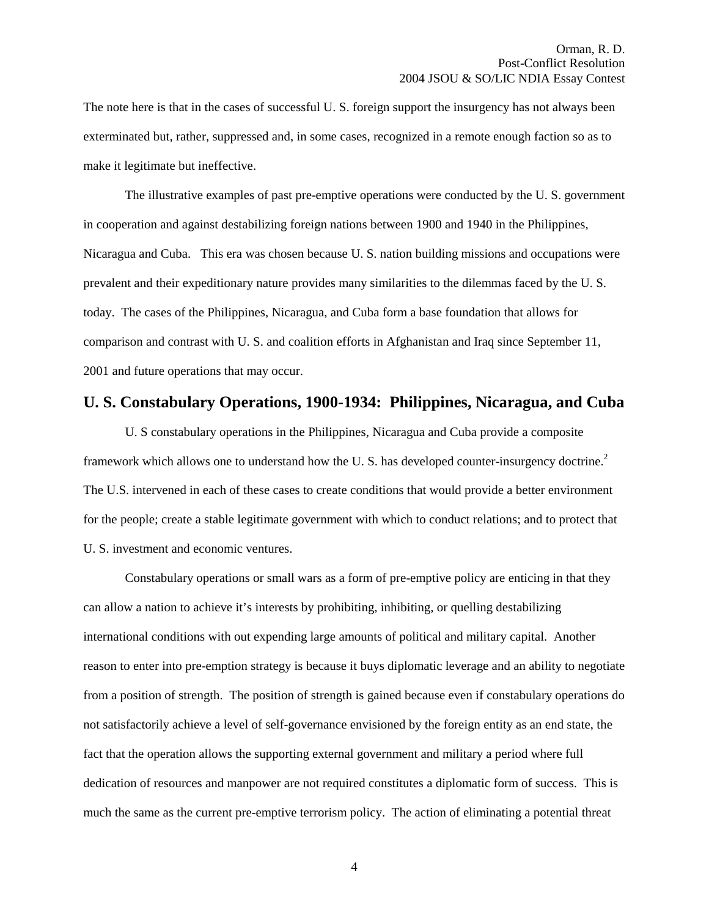The note here is that in the cases of successful U. S. foreign support the insurgency has not always been exterminated but, rather, suppressed and, in some cases, recognized in a remote enough faction so as to make it legitimate but ineffective.

The illustrative examples of past pre-emptive operations were conducted by the U. S. government in cooperation and against destabilizing foreign nations between 1900 and 1940 in the Philippines, Nicaragua and Cuba. This era was chosen because U. S. nation building missions and occupations were prevalent and their expeditionary nature provides many similarities to the dilemmas faced by the U. S. today. The cases of the Philippines, Nicaragua, and Cuba form a base foundation that allows for comparison and contrast with U. S. and coalition efforts in Afghanistan and Iraq since September 11, 2001 and future operations that may occur.

#### **U. S. Constabulary Operations, 1900-1934: Philippines, Nicaragua, and Cuba**

U. S constabulary operations in the Philippines, Nicaragua and Cuba provide a composite framework which allows one to understand how the U.S. has developed counter-insurgency doctrine.<sup>2</sup> The U.S. intervened in each of these cases to create conditions that would provide a better environment for the people; create a stable legitimate government with which to conduct relations; and to protect that U. S. investment and economic ventures.

Constabulary operations or small wars as a form of pre-emptive policy are enticing in that they can allow a nation to achieve it's interests by prohibiting, inhibiting, or quelling destabilizing international conditions with out expending large amounts of political and military capital. Another reason to enter into pre-emption strategy is because it buys diplomatic leverage and an ability to negotiate from a position of strength. The position of strength is gained because even if constabulary operations do not satisfactorily achieve a level of self-governance envisioned by the foreign entity as an end state, the fact that the operation allows the supporting external government and military a period where full dedication of resources and manpower are not required constitutes a diplomatic form of success. This is much the same as the current pre-emptive terrorism policy. The action of eliminating a potential threat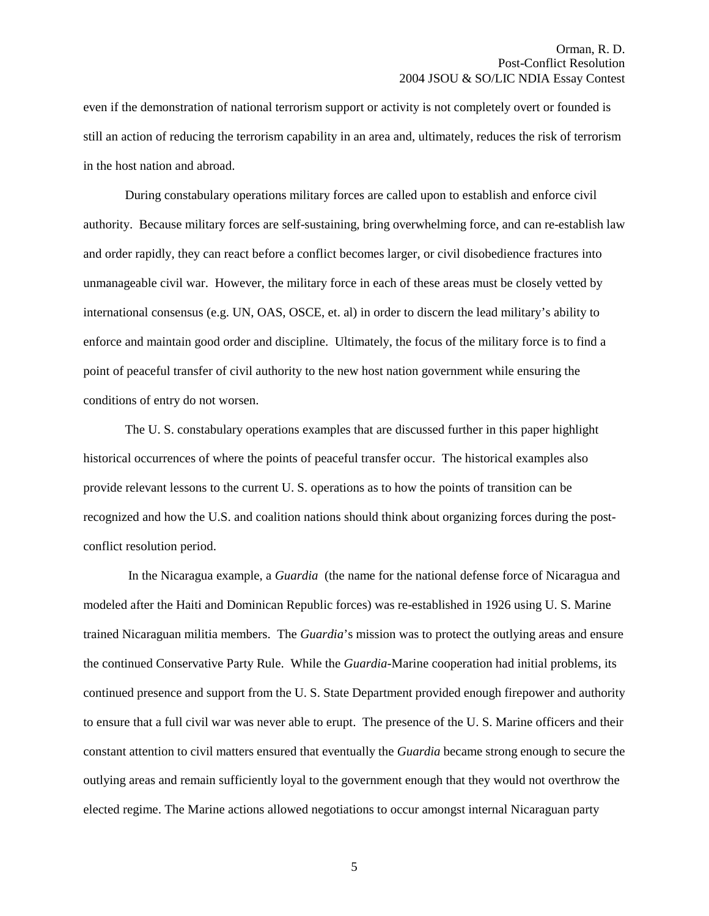even if the demonstration of national terrorism support or activity is not completely overt or founded is still an action of reducing the terrorism capability in an area and, ultimately, reduces the risk of terrorism in the host nation and abroad.

During constabulary operations military forces are called upon to establish and enforce civil authority. Because military forces are self-sustaining, bring overwhelming force, and can re-establish law and order rapidly, they can react before a conflict becomes larger, or civil disobedience fractures into unmanageable civil war. However, the military force in each of these areas must be closely vetted by international consensus (e.g. UN, OAS, OSCE, et. al) in order to discern the lead military's ability to enforce and maintain good order and discipline. Ultimately, the focus of the military force is to find a point of peaceful transfer of civil authority to the new host nation government while ensuring the conditions of entry do not worsen.

The U. S. constabulary operations examples that are discussed further in this paper highlight historical occurrences of where the points of peaceful transfer occur. The historical examples also provide relevant lessons to the current U. S. operations as to how the points of transition can be recognized and how the U.S. and coalition nations should think about organizing forces during the postconflict resolution period.

 In the Nicaragua example, a *Guardia* (the name for the national defense force of Nicaragua and modeled after the Haiti and Dominican Republic forces) was re-established in 1926 using U. S. Marine trained Nicaraguan militia members. The *Guardia*'s mission was to protect the outlying areas and ensure the continued Conservative Party Rule. While the *Guardia-*Marine cooperation had initial problems, its continued presence and support from the U. S. State Department provided enough firepower and authority to ensure that a full civil war was never able to erupt. The presence of the U. S. Marine officers and their constant attention to civil matters ensured that eventually the *Guardia* became strong enough to secure the outlying areas and remain sufficiently loyal to the government enough that they would not overthrow the elected regime. The Marine actions allowed negotiations to occur amongst internal Nicaraguan party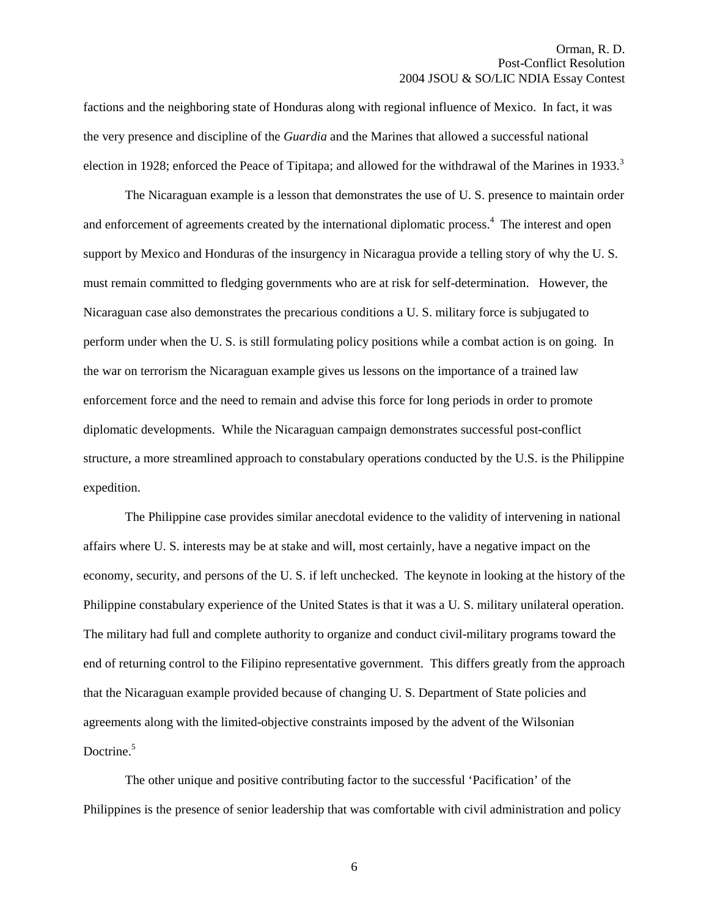factions and the neighboring state of Honduras along with regional influence of Mexico. In fact, it was the very presence and discipline of the *Guardia* and the Marines that allowed a successful national election in 1928; enforced the Peace of Tipitapa; and allowed for the withdrawal of the Marines in 1933.<sup>3</sup>

The Nicaraguan example is a lesson that demonstrates the use of U. S. presence to maintain order and enforcement of agreements created by the international diplomatic process.<sup>4</sup> The interest and open support by Mexico and Honduras of the insurgency in Nicaragua provide a telling story of why the U. S. must remain committed to fledging governments who are at risk for self-determination. However, the Nicaraguan case also demonstrates the precarious conditions a U. S. military force is subjugated to perform under when the U. S. is still formulating policy positions while a combat action is on going. In the war on terrorism the Nicaraguan example gives us lessons on the importance of a trained law enforcement force and the need to remain and advise this force for long periods in order to promote diplomatic developments. While the Nicaraguan campaign demonstrates successful post-conflict structure, a more streamlined approach to constabulary operations conducted by the U.S. is the Philippine expedition.

The Philippine case provides similar anecdotal evidence to the validity of intervening in national affairs where U. S. interests may be at stake and will, most certainly, have a negative impact on the economy, security, and persons of the U. S. if left unchecked. The keynote in looking at the history of the Philippine constabulary experience of the United States is that it was a U. S. military unilateral operation. The military had full and complete authority to organize and conduct civil-military programs toward the end of returning control to the Filipino representative government. This differs greatly from the approach that the Nicaraguan example provided because of changing U. S. Department of State policies and agreements along with the limited-objective constraints imposed by the advent of the Wilsonian Doctrine. $5$ 

The other unique and positive contributing factor to the successful 'Pacification' of the Philippines is the presence of senior leadership that was comfortable with civil administration and policy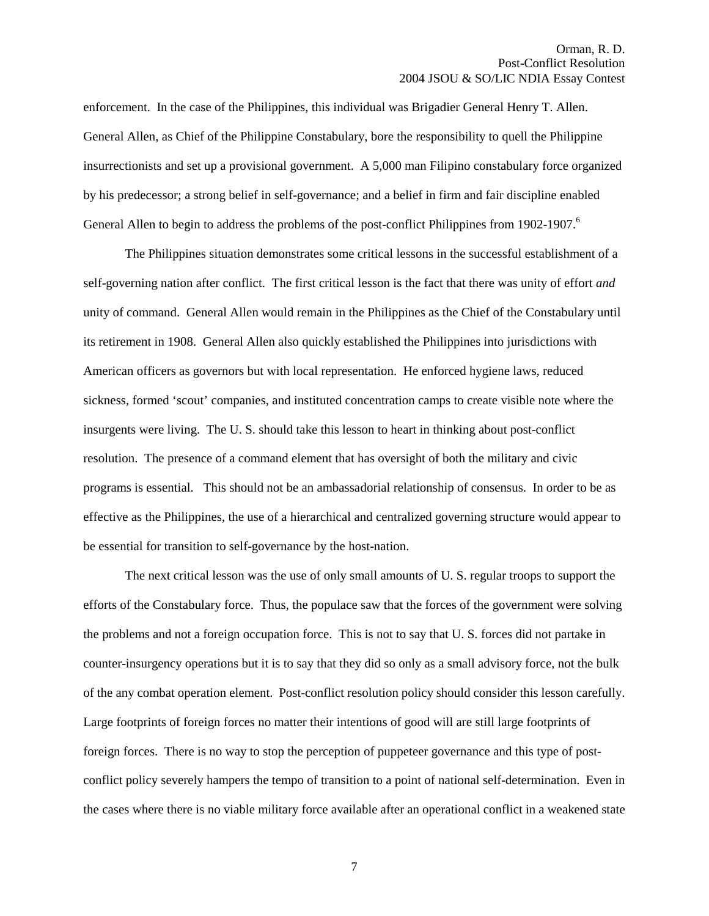enforcement. In the case of the Philippines, this individual was Brigadier General Henry T. Allen. General Allen, as Chief of the Philippine Constabulary, bore the responsibility to quell the Philippine insurrectionists and set up a provisional government. A 5,000 man Filipino constabulary force organized by his predecessor; a strong belief in self-governance; and a belief in firm and fair discipline enabled General Allen to begin to address the problems of the post-conflict Philippines from 1902-1907.<sup>6</sup>

The Philippines situation demonstrates some critical lessons in the successful establishment of a self-governing nation after conflict. The first critical lesson is the fact that there was unity of effort *and*  unity of command. General Allen would remain in the Philippines as the Chief of the Constabulary until its retirement in 1908. General Allen also quickly established the Philippines into jurisdictions with American officers as governors but with local representation. He enforced hygiene laws, reduced sickness, formed 'scout' companies, and instituted concentration camps to create visible note where the insurgents were living. The U. S. should take this lesson to heart in thinking about post-conflict resolution. The presence of a command element that has oversight of both the military and civic programs is essential. This should not be an ambassadorial relationship of consensus. In order to be as effective as the Philippines, the use of a hierarchical and centralized governing structure would appear to be essential for transition to self-governance by the host-nation.

The next critical lesson was the use of only small amounts of U. S. regular troops to support the efforts of the Constabulary force. Thus, the populace saw that the forces of the government were solving the problems and not a foreign occupation force. This is not to say that U. S. forces did not partake in counter-insurgency operations but it is to say that they did so only as a small advisory force, not the bulk of the any combat operation element. Post-conflict resolution policy should consider this lesson carefully. Large footprints of foreign forces no matter their intentions of good will are still large footprints of foreign forces. There is no way to stop the perception of puppeteer governance and this type of postconflict policy severely hampers the tempo of transition to a point of national self-determination. Even in the cases where there is no viable military force available after an operational conflict in a weakened state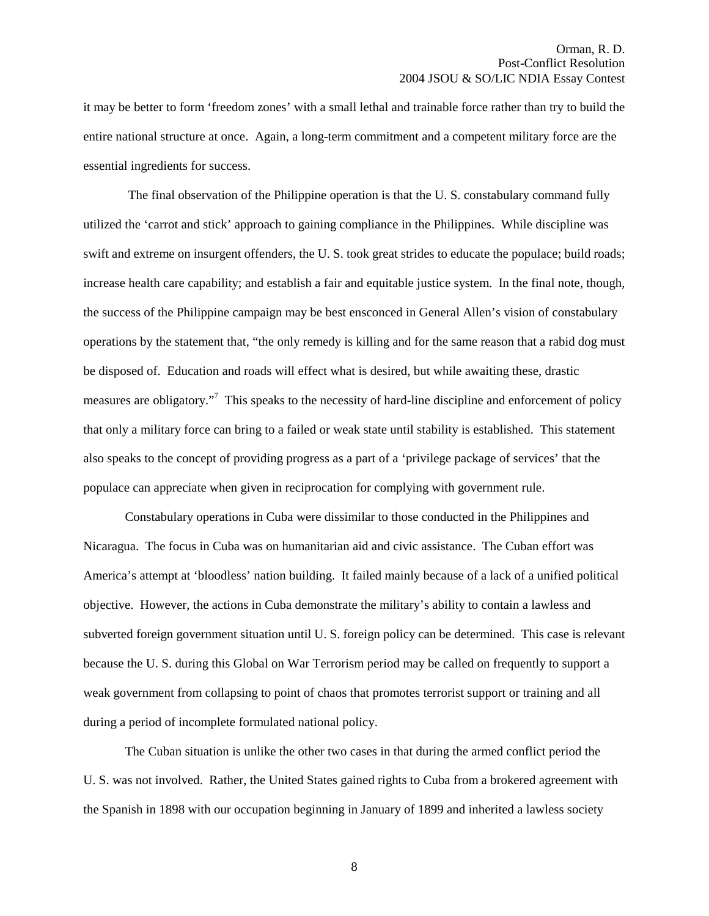it may be better to form 'freedom zones' with a small lethal and trainable force rather than try to build the entire national structure at once. Again, a long-term commitment and a competent military force are the essential ingredients for success.

 The final observation of the Philippine operation is that the U. S. constabulary command fully utilized the 'carrot and stick' approach to gaining compliance in the Philippines. While discipline was swift and extreme on insurgent offenders, the U. S. took great strides to educate the populace; build roads; increase health care capability; and establish a fair and equitable justice system. In the final note, though, the success of the Philippine campaign may be best ensconced in General Allen's vision of constabulary operations by the statement that, "the only remedy is killing and for the same reason that a rabid dog must be disposed of. Education and roads will effect what is desired, but while awaiting these, drastic measures are obligatory."<sup>7</sup> This speaks to the necessity of hard-line discipline and enforcement of policy that only a military force can bring to a failed or weak state until stability is established. This statement also speaks to the concept of providing progress as a part of a 'privilege package of services' that the populace can appreciate when given in reciprocation for complying with government rule.

Constabulary operations in Cuba were dissimilar to those conducted in the Philippines and Nicaragua. The focus in Cuba was on humanitarian aid and civic assistance. The Cuban effort was America's attempt at 'bloodless' nation building. It failed mainly because of a lack of a unified political objective. However, the actions in Cuba demonstrate the military's ability to contain a lawless and subverted foreign government situation until U. S. foreign policy can be determined. This case is relevant because the U. S. during this Global on War Terrorism period may be called on frequently to support a weak government from collapsing to point of chaos that promotes terrorist support or training and all during a period of incomplete formulated national policy.

The Cuban situation is unlike the other two cases in that during the armed conflict period the U. S. was not involved. Rather, the United States gained rights to Cuba from a brokered agreement with the Spanish in 1898 with our occupation beginning in January of 1899 and inherited a lawless society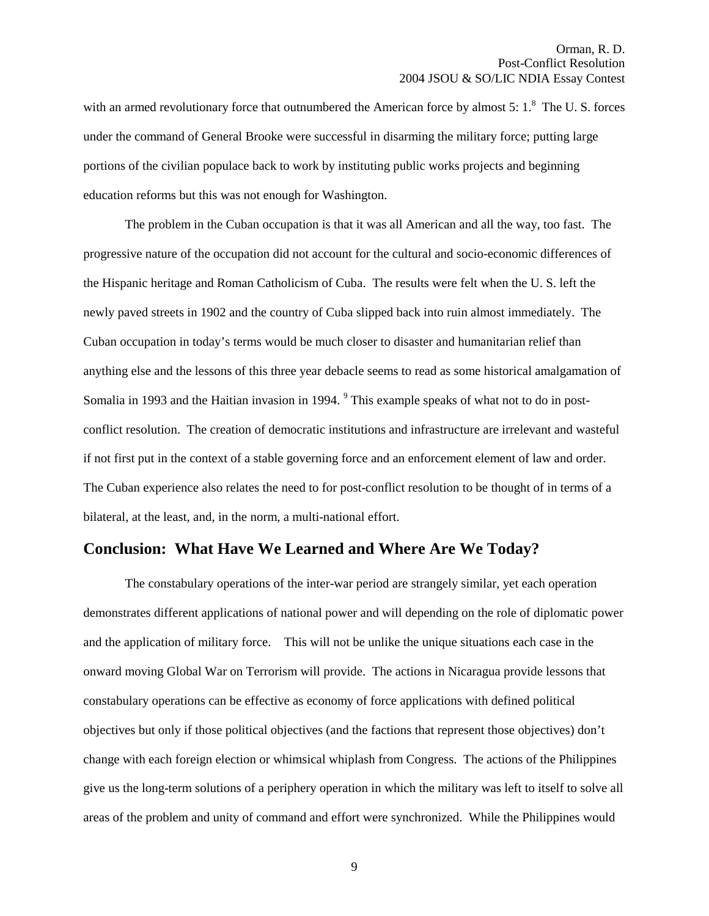with an armed revolutionary force that outnumbered the American force by almost  $5: 1$ .<sup>8</sup> The U.S. forces under the command of General Brooke were successful in disarming the military force; putting large portions of the civilian populace back to work by instituting public works projects and beginning education reforms but this was not enough for Washington.

The problem in the Cuban occupation is that it was all American and all the way, too fast. The progressive nature of the occupation did not account for the cultural and socio-economic differences of the Hispanic heritage and Roman Catholicism of Cuba. The results were felt when the U. S. left the newly paved streets in 1902 and the country of Cuba slipped back into ruin almost immediately. The Cuban occupation in today's terms would be much closer to disaster and humanitarian relief than anything else and the lessons of this three year debacle seems to read as some historical amalgamation of Somalia in 1993 and the Haitian invasion in 1994. <sup>9</sup> This example speaks of what not to do in postconflict resolution. The creation of democratic institutions and infrastructure are irrelevant and wasteful if not first put in the context of a stable governing force and an enforcement element of law and order. The Cuban experience also relates the need to for post-conflict resolution to be thought of in terms of a bilateral, at the least, and, in the norm, a multi-national effort.

# **Conclusion: What Have We Learned and Where Are We Today?**

 The constabulary operations of the inter-war period are strangely similar, yet each operation demonstrates different applications of national power and will depending on the role of diplomatic power and the application of military force. This will not be unlike the unique situations each case in the onward moving Global War on Terrorism will provide. The actions in Nicaragua provide lessons that constabulary operations can be effective as economy of force applications with defined political objectives but only if those political objectives (and the factions that represent those objectives) don't change with each foreign election or whimsical whiplash from Congress. The actions of the Philippines give us the long-term solutions of a periphery operation in which the military was left to itself to solve all areas of the problem and unity of command and effort were synchronized. While the Philippines would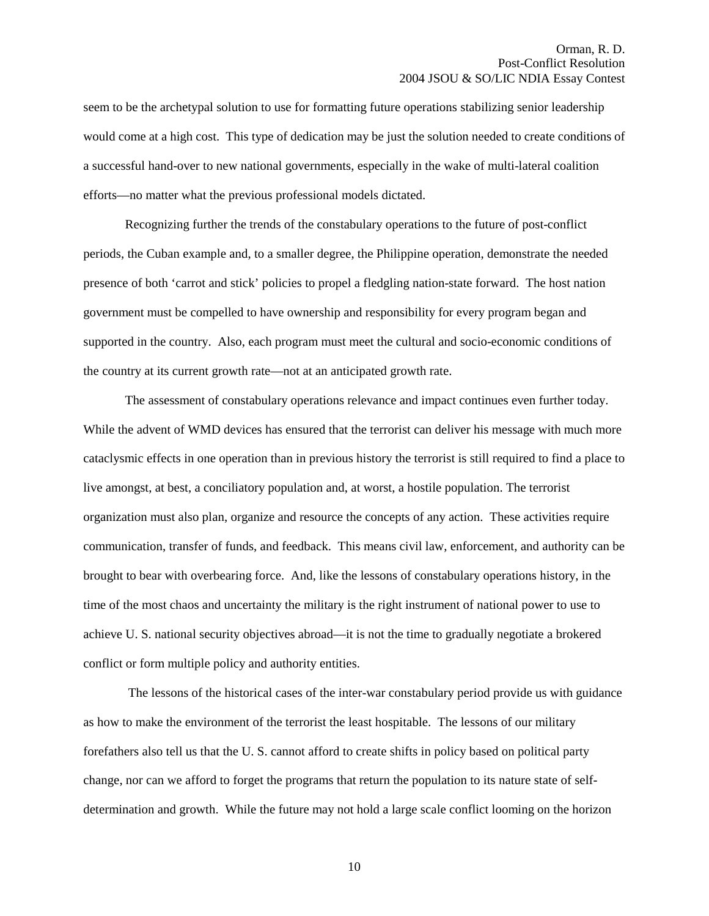seem to be the archetypal solution to use for formatting future operations stabilizing senior leadership would come at a high cost. This type of dedication may be just the solution needed to create conditions of a successful hand-over to new national governments, especially in the wake of multi-lateral coalition efforts—no matter what the previous professional models dictated.

Recognizing further the trends of the constabulary operations to the future of post-conflict periods, the Cuban example and, to a smaller degree, the Philippine operation, demonstrate the needed presence of both 'carrot and stick' policies to propel a fledgling nation-state forward. The host nation government must be compelled to have ownership and responsibility for every program began and supported in the country. Also, each program must meet the cultural and socio-economic conditions of the country at its current growth rate—not at an anticipated growth rate.

The assessment of constabulary operations relevance and impact continues even further today. While the advent of WMD devices has ensured that the terrorist can deliver his message with much more cataclysmic effects in one operation than in previous history the terrorist is still required to find a place to live amongst, at best, a conciliatory population and, at worst, a hostile population. The terrorist organization must also plan, organize and resource the concepts of any action. These activities require communication, transfer of funds, and feedback. This means civil law, enforcement, and authority can be brought to bear with overbearing force. And, like the lessons of constabulary operations history, in the time of the most chaos and uncertainty the military is the right instrument of national power to use to achieve U. S. national security objectives abroad—it is not the time to gradually negotiate a brokered conflict or form multiple policy and authority entities.

 The lessons of the historical cases of the inter-war constabulary period provide us with guidance as how to make the environment of the terrorist the least hospitable. The lessons of our military forefathers also tell us that the U. S. cannot afford to create shifts in policy based on political party change, nor can we afford to forget the programs that return the population to its nature state of selfdetermination and growth. While the future may not hold a large scale conflict looming on the horizon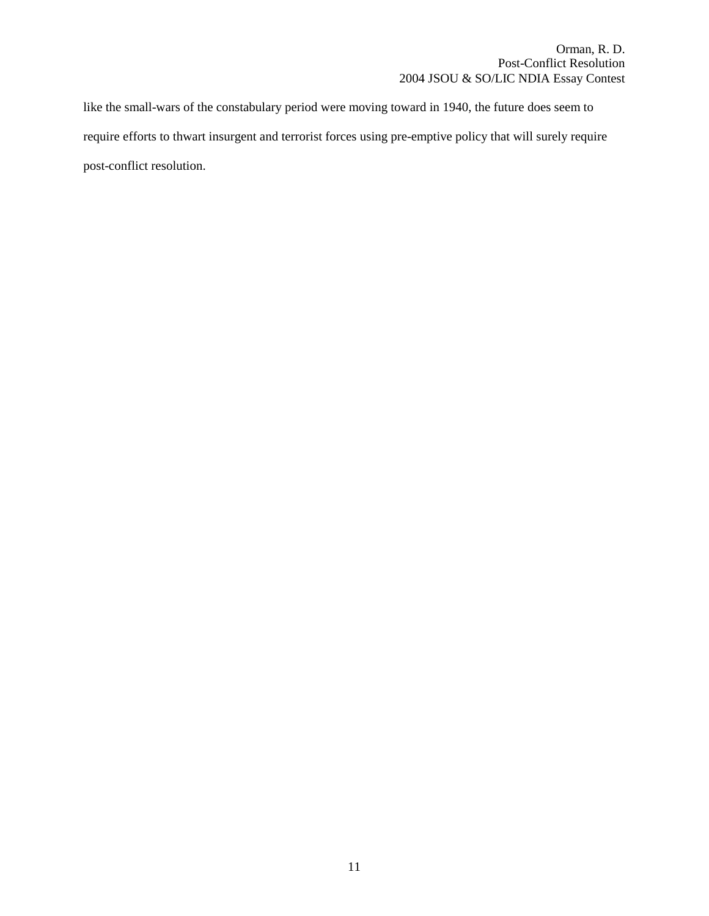like the small-wars of the constabulary period were moving toward in 1940, the future does seem to require efforts to thwart insurgent and terrorist forces using pre-emptive policy that will surely require post-conflict resolution.